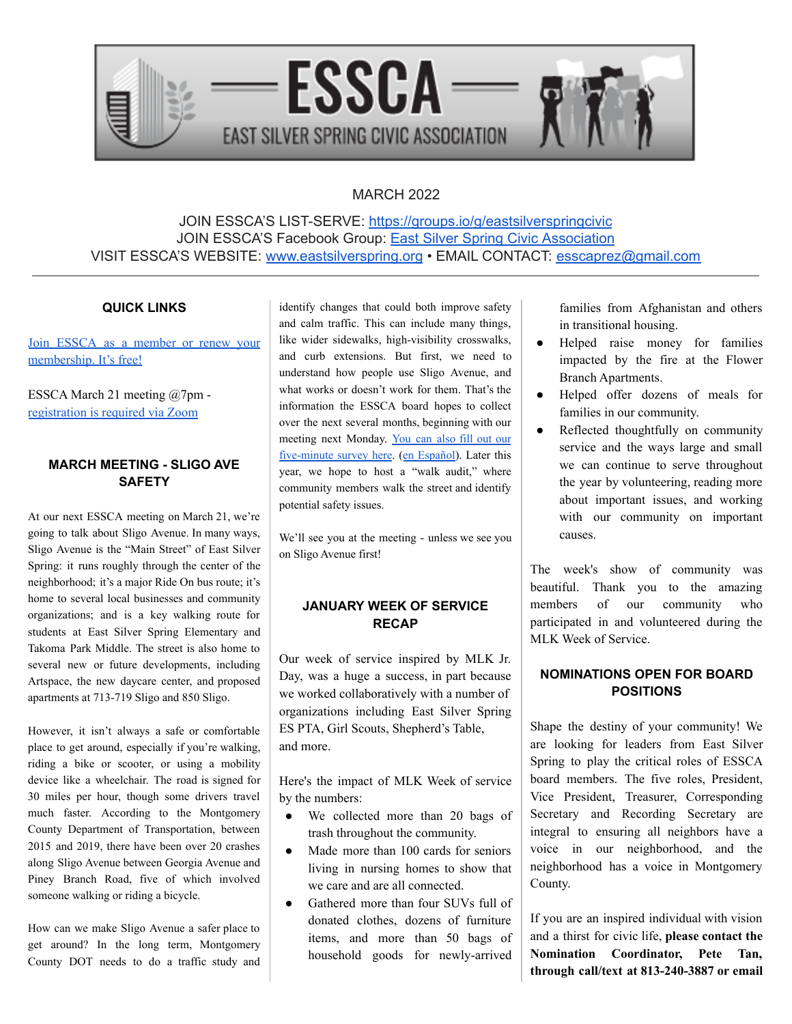

# MARCH 2022

JOIN ESSCA'S LIST-SERVE: <https://groups.io/g/eastsilverspringcivic> JOIN ESSCA'S Facebook Group: East Silver Spring Civic [Association](https://www.facebook.com/groups/EastSilverSpringCitizensAssociation) VISIT ESSCA'S WEBSITE: [www.eastsilverspring.org](http://www.eastsilverspring.org) • EMAIL CONTACT: [esscaprez@gmail.com](mailto:esscaprez@gmail.com)

#### **QUICK LINKS**

Join ESSCA as a [member](https://www.eastsilverspring.org/join) or renew your [membership.](https://www.eastsilverspring.org/join) It's free!

ESSCA March 21 meeting @7pm [registration](https://us02web.zoom.us/meeting/register/tZwodeioqzkvGNLCcV98X1EXfY5qIQKCABQR) is required via Zoom

# **MARCH MEETING - SLIGO AVE SAFETY**

At our next ESSCA meeting on March 21, we're going to talk about Sligo Avenue. In many ways, Sligo Avenue is the "Main Street" of East Silver Spring: it runs roughly through the center of the neighborhood; it's a major Ride On bus route; it's home to several local businesses and community organizations; and is a key walking route for students at East Silver Spring Elementary and Takoma Park Middle. The street is also home to several new or future developments, including Artspace, the new daycare center, and proposed apartments at 713-719 Sligo and 850 Sligo.

However, it isn't always a safe or comfortable place to get around, especially if you're walking, riding a bike or scooter, or using a mobility device like a wheelchair. The road is signed for 30 miles per hour, though some drivers travel much faster. According to the Montgomery County Department of Transportation, between 2015 and 2019, there have been over 20 crashes along Sligo Avenue between Georgia Avenue and Piney Branch Road, five of which involved someone walking or riding a bicycle.

How can we make Sligo Avenue a safer place to get around? In the long term, Montgomery County DOT needs to do a traffic study and

identify changes that could both improve safety and calm traffic. This can include many things, like wider sidewalks, high-visibility crosswalks, and curb extensions. But first, we need to understand how people use Sligo Avenue, and what works or doesn't work for them. That's the information the ESSCA board hopes to collect over the next several months, beginning with our meeting next Monday. [You](https://docs.google.com/forms/d/e/1FAIpQLSfqe5yAZSqJURtPUZeVVL17XDRmK6RDDuUL36dJIcf4SxSnmQ/viewform) can also fill out our [five-minute](https://docs.google.com/forms/d/e/1FAIpQLSfqe5yAZSqJURtPUZeVVL17XDRmK6RDDuUL36dJIcf4SxSnmQ/viewform) survey here. (en [Español](https://docs.google.com/forms/d/e/1FAIpQLSdB2dYojkG4Gn4GlHZnrIFQK7JwltuLzYyIfx9kvRpymlBaBA/viewform)). Later this year, we hope to host a "walk audit," where community members walk the street and identify potential safety issues.

We'll see you at the meeting - unless we see you on Sligo Avenue first!

# **JANUARY WEEK OF SERVICE RECAP**

Our week of service inspired by MLK Jr. Day, was a huge a success, in part because we worked collaboratively with a number of organizations including East Silver Spring ES PTA, Girl Scouts, Shepherd's Table, and more.

Here's the impact of MLK Week of service by the numbers:

- We collected more than 20 bags of trash throughout the community.
- Made more than 100 cards for seniors living in nursing homes to show that we care and are all connected.
- Gathered more than four SUVs full of donated clothes, dozens of furniture items, and more than 50 bags of household goods for newly-arrived

families from Afghanistan and others in transitional housing.

- Helped raise money for families impacted by the fire at the Flower Branch Apartments.
- Helped offer dozens of meals for families in our community.
- Reflected thoughtfully on community service and the ways large and small we can continue to serve throughout the year by volunteering, reading more about important issues, and working with our community on important causes.

The week's show of community was beautiful. Thank you to the amazing members of our community who participated in and volunteered during the MLK Week of Service.

### **NOMINATIONS OPEN FOR BOARD POSITIONS**

Shape the destiny of your community! We are looking for leaders from East Silver Spring to play the critical roles of ESSCA board members. The five roles, President, Vice President, Treasurer, Corresponding Secretary and Recording Secretary are integral to ensuring all neighbors have a voice in our neighborhood, and the neighborhood has a voice in Montgomery County.

If you are an inspired individual with vision and a thirst for civic life, **please contact the Nomination Coordinator, Pete Tan, through call/text at 813-240-3887 or email**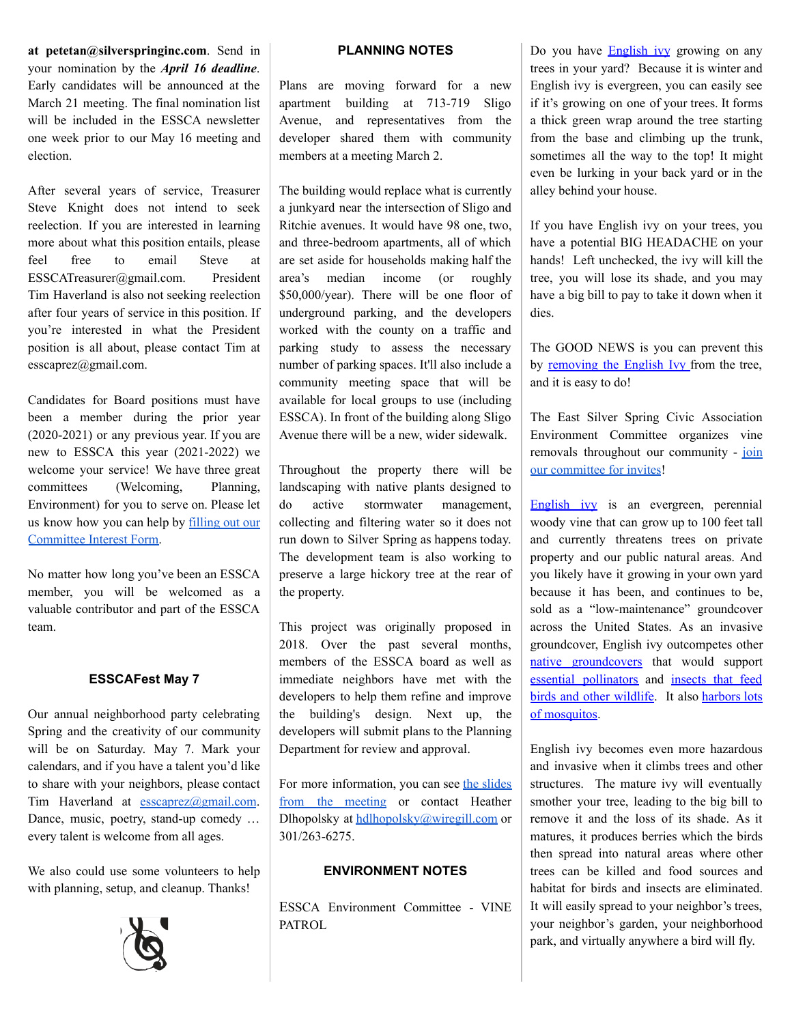**at petetan@silverspringinc.com**. Send in your nomination by the *April 16 deadline*. Early candidates will be announced at the March 21 meeting. The final nomination list will be included in the ESSCA newsletter one week prior to our May 16 meeting and election.

After several years of service, Treasurer Steve Knight does not intend to seek reelection. If you are interested in learning more about what this position entails, please feel free to email Steve at ESSCATreasurer@gmail.com. President Tim Haverland is also not seeking reelection after four years of service in this position. If you're interested in what the President position is all about, please contact Tim at esscaprez@gmail.com.

Candidates for Board positions must have been a member during the prior year (2020-2021) or any previous year. If you are new to ESSCA this year (2021-2022) we welcome your service! We have three great committees (Welcoming, Planning, Environment) for you to serve on. Please let us know how you can help by [filling](https://docs.google.com/forms/d/e/1FAIpQLSfTvkpdaSEGGeY8KeHAPAmvc8i19_BxFcHk_4jpyoEvCVvdvw/viewform?usp=sf_link) out our [Committee](https://docs.google.com/forms/d/e/1FAIpQLSfTvkpdaSEGGeY8KeHAPAmvc8i19_BxFcHk_4jpyoEvCVvdvw/viewform?usp=sf_link) Interest Form.

No matter how long you've been an ESSCA member, you will be welcomed as a valuable contributor and part of the ESSCA team.

### **ESSCAFest May 7**

Our annual neighborhood party celebrating Spring and the creativity of our community will be on Saturday. May 7. Mark your calendars, and if you have a talent you'd like to share with your neighbors, please contact Tim Haverland at [esscaprez@gmail.com](mailto:esscaprez@gmail.com). Dance, music, poetry, stand-up comedy … every talent is welcome from all ages.

We also could use some volunteers to help with planning, setup, and cleanup. Thanks!



### **PLANNING NOTES**

Plans are moving forward for a new apartment building at 713-719 Sligo Avenue, and representatives from the developer shared them with community members at a meeting March 2.

The building would replace what is currently a junkyard near the intersection of Sligo and Ritchie avenues. It would have 98 one, two, and three-bedroom apartments, all of which are set aside for households making half the area's median income (or roughly \$50,000/year). There will be one floor of underground parking, and the developers worked with the county on a traffic and parking study to assess the necessary number of parking spaces. It'll also include a community meeting space that will be available for local groups to use (including ESSCA). In front of the building along Sligo Avenue there will be a new, wider sidewalk.

Throughout the property there will be landscaping with native plants designed to do active stormwater management, collecting and filtering water so it does not run down to Silver Spring as happens today. The development team is also working to preserve a large hickory tree at the rear of the property.

This project was originally proposed in 2018. Over the past several months, members of the ESSCA board as well as immediate neighbors have met with the developers to help them refine and improve the building's design. Next up, the developers will submit plans to the Planning Department for review and approval.

For more information, you can see the [slides](https://tinyurl.com/2p83cjvt) from the [meeting](https://tinyurl.com/2p83cjvt) or contact Heather Dlhopolsky at [hdlhopolsky@wiregill.com](mailto:hdlhopolsky@wiregill.com) or 301/263-6275.

#### **ENVIRONMENT NOTES**

ESSCA Environment Committee - VINE PATROL

Do you have **[English](https://www.lewisginter.org/english-ivy/) ivy** growing on any trees in your yard? Because it is winter and English ivy is evergreen, you can easily see if it's growing on one of your trees. It forms a thick green wrap around the tree starting from the base and climbing up the trunk, sometimes all the way to the top! It might even be lurking in your back yard or in the alley behind your house.

If you have English ivy on your trees, you have a potential BIG HEADACHE on your hands! Left unchecked, the ivy will kill the tree, you will lose its shade, and you may have a big bill to pay to take it down when it dies.

The GOOD NEWS is you can prevent this by [removing](https://www.youtube.com/watch?v=42TibaNjJo8) the English Ivy from the tree, and it is easy to do!

The East Silver Spring Civic Association Environment Committee organizes vine removals throughout our community - [join](https://docs.google.com/forms/d/e/1FAIpQLSfTvkpdaSEGGeY8KeHAPAmvc8i19_BxFcHk_4jpyoEvCVvdvw/viewform?usp=sf_link) our [committee](https://docs.google.com/forms/d/e/1FAIpQLSfTvkpdaSEGGeY8KeHAPAmvc8i19_BxFcHk_4jpyoEvCVvdvw/viewform?usp=sf_link) for invites!

[English](https://mgnv.org/plants/invasive-plants/english-ivy/) ivy is an evergreen, perennial woody vine that can grow up to 100 feet tall and currently threatens trees on private property and our public natural areas. And you likely have it growing in your own yard because it has been, and continues to be, sold as a "low-maintenance" groundcover across the United States. As an invasive groundcover, English ivy outcompetes othe[r](https://www.plantnovanatives.org/groundcovers) native [groundcovers](https://www.plantnovanatives.org/groundcovers) that would support essential [pollinators](https://www.xerces.org/pollinator-conservation) and [insects](https://homegrownnationalpark.org/tallamys-hub-1) that feed birds and other [wildlife.](https://homegrownnationalpark.org/tallamys-hub-1) It also [harbors](https://colinpurrington.com/2018/11/kill-your-english-ivy/) lots of [mosquitos](https://colinpurrington.com/2018/11/kill-your-english-ivy/).

English ivy becomes even more hazardous and invasive when it climbs trees and other structures. The mature ivy will eventually smother your tree, leading to the big bill to remove it and the loss of its shade. As it matures, it produces berries which the birds then spread into natural areas where other trees can be killed and food sources and habitat for birds and insects are eliminated. It will easily spread to your neighbor's trees, your neighbor's garden, your neighborhood park, and virtually anywhere a bird will fly.